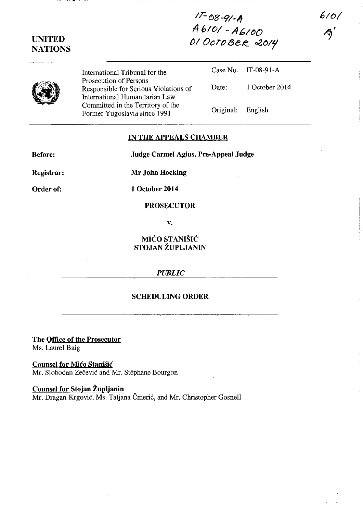*IT-68-91-/f A* **610/ - A6/()O ()**<br> **()** *DCTOBER* 2014<br> **NATIONS** 

**UNITED** 

International Tribunal for the Prosecution of Persons Responsible for Serious Violations of International Humanitarian Law Committed in the Territory of the Former Yugoslavia since 1991

Case No. IT-08-91-A Date: 1 October 2014 Original: English

**610/** 

## **IN THE APPEALS CHAMBER**

**Before:** 

**,Judge Carmel** Agius, **Pre-Appeal Judge** 

**Registrar:** 

**Mr John Hocking** 

Order of:

**1 October 2014** 

**PROSEcUTOR** 

V.

**MICO STANISIC STOJAN ZUPLJANIN** 

## *PUBLIC*

## **SCHEDULING ORDER**

**The Office of the Prosecutor**  Ms. Laurel Baig

**Counsel for Mico Stanisic**  Mr. Slobodan Zečević and Mr. Stéphane Bourgon

**Counsel for Stojan Zuplianin**  Mr. Dragan Krgović, Ms. Tatjana Čmerić, and Mr. Christopher Gosnell